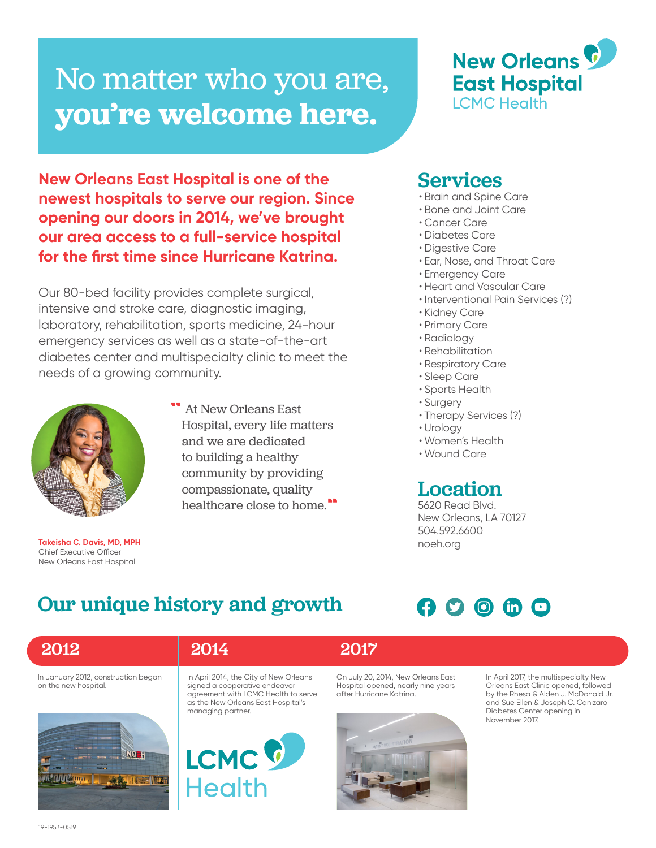# No matter who you are, **you're welcome here.**

**New Orleans East Hospital is one of the newest hospitals to serve our region. Since opening our doors in 2014, we've brought our area access to a full-service hospital for the first time since Hurricane Katrina.** 

Our 80-bed facility provides complete surgical, intensive and stroke care, diagnostic imaging, laboratory, rehabilitation, sports medicine, 24-hour emergency services as well as a state-of-the-art diabetes center and multispecialty clinic to meet the needs of a growing community.



**Takeisha C. Davis, MD, MPH** Chief Executive Officer New Orleans East Hospital

At New Orleans East Hospital, every life matters and we are dedicated to building a healthy community by providing compassionate, quality healthcare close to home.

#### Services

- Brain and Spine Care
- Bone and Joint Care
- Cancer Care
- Diabetes Care
- Digestive Care
- Ear, Nose, and Throat Care
- Emergency Care
- Heart and Vascular Care
- Interventional Pain Services (?)

**New Orleans &** 

**East Hospital** 

**LCMC Health** 

- Kidney Care
- Primary Care
- Radiology
- Rehabilitation
- Respiratory Care
- Sleep Care
- Sports Health
- Surgery
- Therapy Services (?)
- Urology
- Women's Health
- Wound Care

Location

5620 Read Blvd. New Orleans, LA 70127 504.592.6600 noeh.org

## Our unique history and growth

**Health**